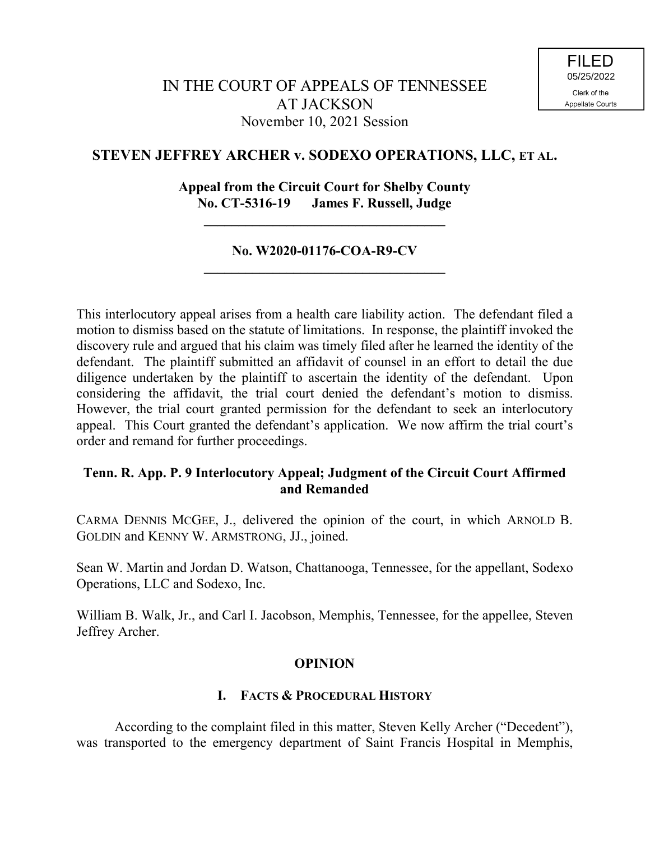# **STEVEN JEFFREY ARCHER v. SODEXO OPERATIONS, LLC, ET AL.**

# **Appeal from the Circuit Court for Shelby County No. CT-5316-19 James F. Russell, Judge**

**\_\_\_\_\_\_\_\_\_\_\_\_\_\_\_\_\_\_\_\_\_\_\_\_\_\_\_\_\_\_\_\_\_\_\_**

## **No. W2020-01176-COA-R9-CV \_\_\_\_\_\_\_\_\_\_\_\_\_\_\_\_\_\_\_\_\_\_\_\_\_\_\_\_\_\_\_\_\_\_\_**

This interlocutory appeal arises from a health care liability action. The defendant filed a motion to dismiss based on the statute of limitations. In response, the plaintiff invoked the discovery rule and argued that his claim was timely filed after he learned the identity of the defendant. The plaintiff submitted an affidavit of counsel in an effort to detail the due diligence undertaken by the plaintiff to ascertain the identity of the defendant. Upon considering the affidavit, the trial court denied the defendant's motion to dismiss. However, the trial court granted permission for the defendant to seek an interlocutory appeal. This Court granted the defendant's application. We now affirm the trial court's order and remand for further proceedings.

# **Tenn. R. App. P. 9 Interlocutory Appeal; Judgment of the Circuit Court Affirmed and Remanded**

CARMA DENNIS MCGEE, J., delivered the opinion of the court, in which ARNOLD B. GOLDIN and KENNY W. ARMSTRONG, JJ., joined.

Sean W. Martin and Jordan D. Watson, Chattanooga, Tennessee, for the appellant, Sodexo Operations, LLC and Sodexo, Inc.

William B. Walk, Jr., and Carl I. Jacobson, Memphis, Tennessee, for the appellee, Steven Jeffrey Archer.

## **OPINION**

## **I. FACTS & PROCEDURAL HISTORY**

According to the complaint filed in this matter, Steven Kelly Archer ("Decedent"), was transported to the emergency department of Saint Francis Hospital in Memphis,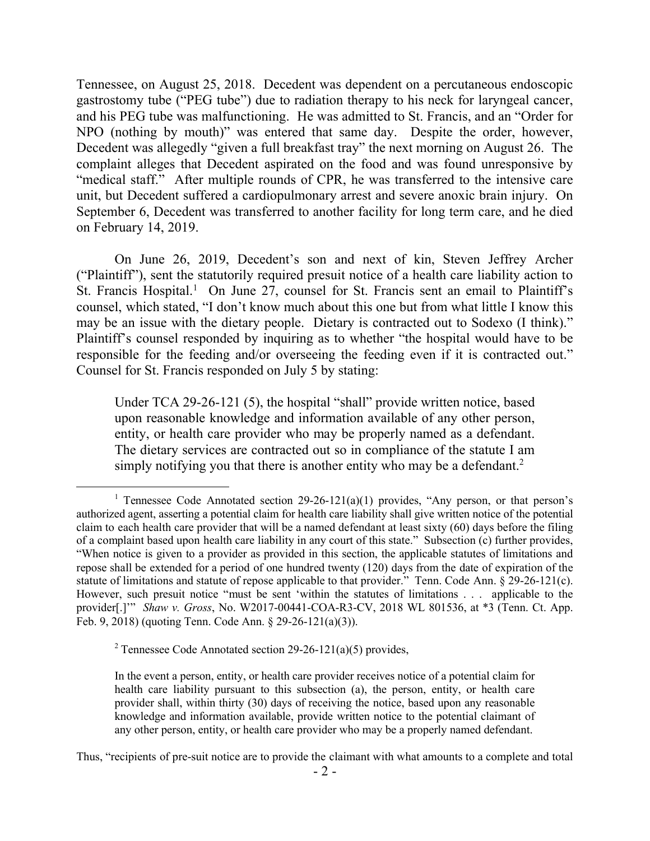Tennessee, on August 25, 2018. Decedent was dependent on a percutaneous endoscopic gastrostomy tube ("PEG tube") due to radiation therapy to his neck for laryngeal cancer, and his PEG tube was malfunctioning. He was admitted to St. Francis, and an "Order for NPO (nothing by mouth)" was entered that same day. Despite the order, however, Decedent was allegedly "given a full breakfast tray" the next morning on August 26. The complaint alleges that Decedent aspirated on the food and was found unresponsive by "medical staff." After multiple rounds of CPR, he was transferred to the intensive care unit, but Decedent suffered a cardiopulmonary arrest and severe anoxic brain injury. On September 6, Decedent was transferred to another facility for long term care, and he died on February 14, 2019.

On June 26, 2019, Decedent's son and next of kin, Steven Jeffrey Archer ("Plaintiff"), sent the statutorily required presuit notice of a health care liability action to St. Francis Hospital.<sup>1</sup> On June 27, counsel for St. Francis sent an email to Plaintiff's counsel, which stated, "I don't know much about this one but from what little I know this may be an issue with the dietary people. Dietary is contracted out to Sodexo (I think)." Plaintiff's counsel responded by inquiring as to whether "the hospital would have to be responsible for the feeding and/or overseeing the feeding even if it is contracted out." Counsel for St. Francis responded on July 5 by stating:

Under TCA 29-26-121 (5), the hospital "shall" provide written notice, based upon reasonable knowledge and information available of any other person, entity, or health care provider who may be properly named as a defendant. The dietary services are contracted out so in compliance of the statute I am simply notifying you that there is another entity who may be a defendant.<sup>2</sup>

<sup>2</sup> Tennessee Code Annotated section  $29-26-121(a)(5)$  provides,

<sup>&</sup>lt;sup>1</sup> Tennessee Code Annotated section  $29-26-121(a)(1)$  provides, "Any person, or that person's authorized agent, asserting a potential claim for health care liability shall give written notice of the potential claim to each health care provider that will be a named defendant at least sixty (60) days before the filing of a complaint based upon health care liability in any court of this state." Subsection (c) further provides, "When notice is given to a provider as provided in this section, the applicable statutes of limitations and repose shall be extended for a period of one hundred twenty (120) days from the date of expiration of the statute of limitations and statute of repose applicable to that provider." Tenn. Code Ann. § 29-26-121(c). However, such presuit notice "must be sent 'within the statutes of limitations . . . applicable to the provider[.]'" *Shaw v. Gross*, No. W2017-00441-COA-R3-CV, 2018 WL 801536, at \*3 (Tenn. Ct. App. Feb. 9, 2018) (quoting Tenn. Code Ann. § 29-26-121(a)(3)).

In the event a person, entity, or health care provider receives notice of a potential claim for health care liability pursuant to this subsection (a), the person, entity, or health care provider shall, within thirty (30) days of receiving the notice, based upon any reasonable knowledge and information available, provide written notice to the potential claimant of any other person, entity, or health care provider who may be a properly named defendant.

Thus, "recipients of pre-suit notice are to provide the claimant with what amounts to a complete and total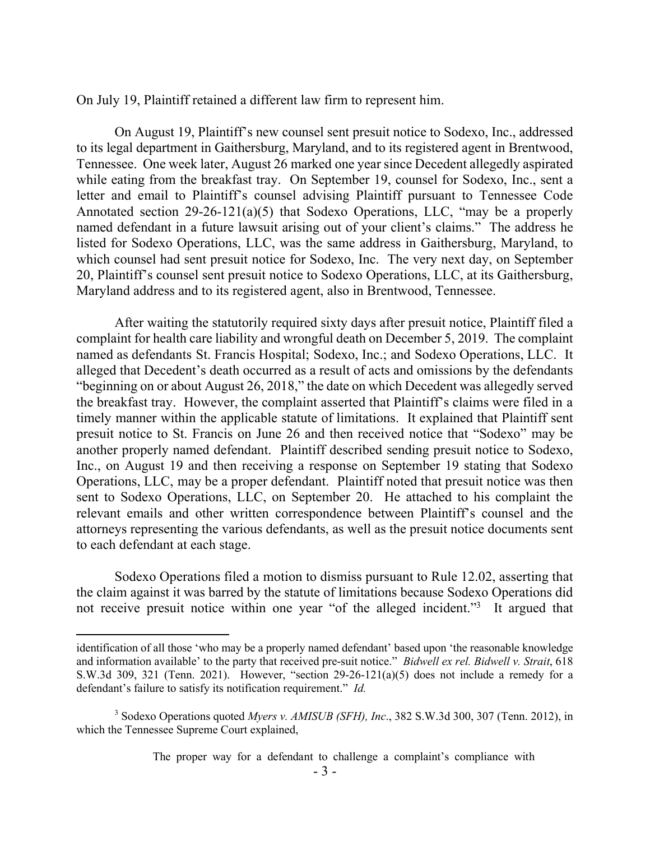On July 19, Plaintiff retained a different law firm to represent him.

On August 19, Plaintiff's new counsel sent presuit notice to Sodexo, Inc., addressed to its legal department in Gaithersburg, Maryland, and to its registered agent in Brentwood, Tennessee. One week later, August 26 marked one year since Decedent allegedly aspirated while eating from the breakfast tray. On September 19, counsel for Sodexo, Inc., sent a letter and email to Plaintiff's counsel advising Plaintiff pursuant to Tennessee Code Annotated section 29-26-121(a)(5) that Sodexo Operations, LLC, "may be a properly named defendant in a future lawsuit arising out of your client's claims." The address he listed for Sodexo Operations, LLC, was the same address in Gaithersburg, Maryland, to which counsel had sent presuit notice for Sodexo, Inc. The very next day, on September 20, Plaintiff's counsel sent presuit notice to Sodexo Operations, LLC, at its Gaithersburg, Maryland address and to its registered agent, also in Brentwood, Tennessee.

After waiting the statutorily required sixty days after presuit notice, Plaintiff filed a complaint for health care liability and wrongful death on December 5, 2019. The complaint named as defendants St. Francis Hospital; Sodexo, Inc.; and Sodexo Operations, LLC. It alleged that Decedent's death occurred as a result of acts and omissions by the defendants "beginning on or about August 26, 2018," the date on which Decedent was allegedly served the breakfast tray. However, the complaint asserted that Plaintiff's claims were filed in a timely manner within the applicable statute of limitations. It explained that Plaintiff sent presuit notice to St. Francis on June 26 and then received notice that "Sodexo" may be another properly named defendant. Plaintiff described sending presuit notice to Sodexo, Inc., on August 19 and then receiving a response on September 19 stating that Sodexo Operations, LLC, may be a proper defendant. Plaintiff noted that presuit notice was then sent to Sodexo Operations, LLC, on September 20. He attached to his complaint the relevant emails and other written correspondence between Plaintiff's counsel and the attorneys representing the various defendants, as well as the presuit notice documents sent to each defendant at each stage.

Sodexo Operations filed a motion to dismiss pursuant to Rule 12.02, asserting that the claim against it was barred by the statute of limitations because Sodexo Operations did not receive presuit notice within one year "of the alleged incident."<sup>3</sup> It argued that

identification of all those 'who may be a properly named defendant' based upon 'the reasonable knowledge and information available' to the party that received pre-suit notice." *Bidwell ex rel. Bidwell v. Strait*, 618 S.W.3d 309, 321 (Tenn. 2021). However, "section 29-26-121(a)(5) does not include a remedy for a defendant's failure to satisfy its notification requirement." *Id.*

<sup>3</sup> Sodexo Operations quoted *Myers v. AMISUB (SFH), Inc*., 382 S.W.3d 300, 307 (Tenn. 2012), in which the Tennessee Supreme Court explained,

The proper way for a defendant to challenge a complaint's compliance with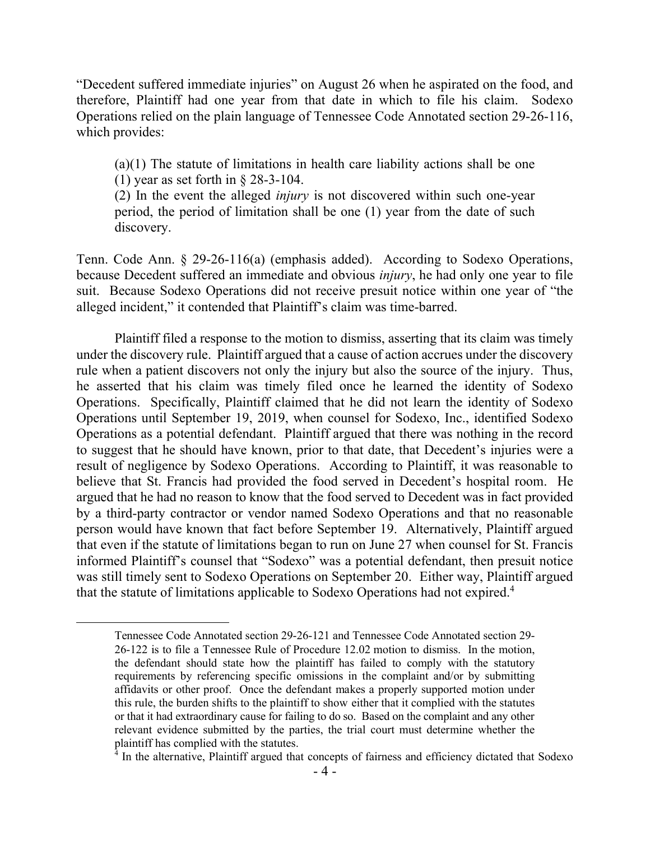"Decedent suffered immediate injuries" on August 26 when he aspirated on the food, and therefore, Plaintiff had one year from that date in which to file his claim. Sodexo Operations relied on the plain language of Tennessee Code Annotated section 29-26-116, which provides:

(a)(1) The statute of limitations in health care liability actions shall be one (1) year as set forth in § 28-3-104.

(2) In the event the alleged *injury* is not discovered within such one-year period, the period of limitation shall be one (1) year from the date of such discovery.

Tenn. Code Ann. § 29-26-116(a) (emphasis added). According to Sodexo Operations, because Decedent suffered an immediate and obvious *injury*, he had only one year to file suit. Because Sodexo Operations did not receive presuit notice within one year of "the alleged incident," it contended that Plaintiff's claim was time-barred.

Plaintiff filed a response to the motion to dismiss, asserting that its claim was timely under the discovery rule. Plaintiff argued that a cause of action accrues under the discovery rule when a patient discovers not only the injury but also the source of the injury. Thus, he asserted that his claim was timely filed once he learned the identity of Sodexo Operations. Specifically, Plaintiff claimed that he did not learn the identity of Sodexo Operations until September 19, 2019, when counsel for Sodexo, Inc., identified Sodexo Operations as a potential defendant. Plaintiff argued that there was nothing in the record to suggest that he should have known, prior to that date, that Decedent's injuries were a result of negligence by Sodexo Operations. According to Plaintiff, it was reasonable to believe that St. Francis had provided the food served in Decedent's hospital room. He argued that he had no reason to know that the food served to Decedent was in fact provided by a third-party contractor or vendor named Sodexo Operations and that no reasonable person would have known that fact before September 19. Alternatively, Plaintiff argued that even if the statute of limitations began to run on June 27 when counsel for St. Francis informed Plaintiff's counsel that "Sodexo" was a potential defendant, then presuit notice was still timely sent to Sodexo Operations on September 20. Either way, Plaintiff argued that the statute of limitations applicable to Sodexo Operations had not expired.<sup>4</sup>

Tennessee Code Annotated section 29-26-121 and Tennessee Code Annotated section 29- 26-122 is to file a Tennessee Rule of Procedure 12.02 motion to dismiss. In the motion, the defendant should state how the plaintiff has failed to comply with the statutory requirements by referencing specific omissions in the complaint and/or by submitting affidavits or other proof. Once the defendant makes a properly supported motion under this rule, the burden shifts to the plaintiff to show either that it complied with the statutes or that it had extraordinary cause for failing to do so. Based on the complaint and any other relevant evidence submitted by the parties, the trial court must determine whether the plaintiff has complied with the statutes.

 $\frac{4}{4}$  In the alternative, Plaintiff argued that concepts of fairness and efficiency dictated that Sodexo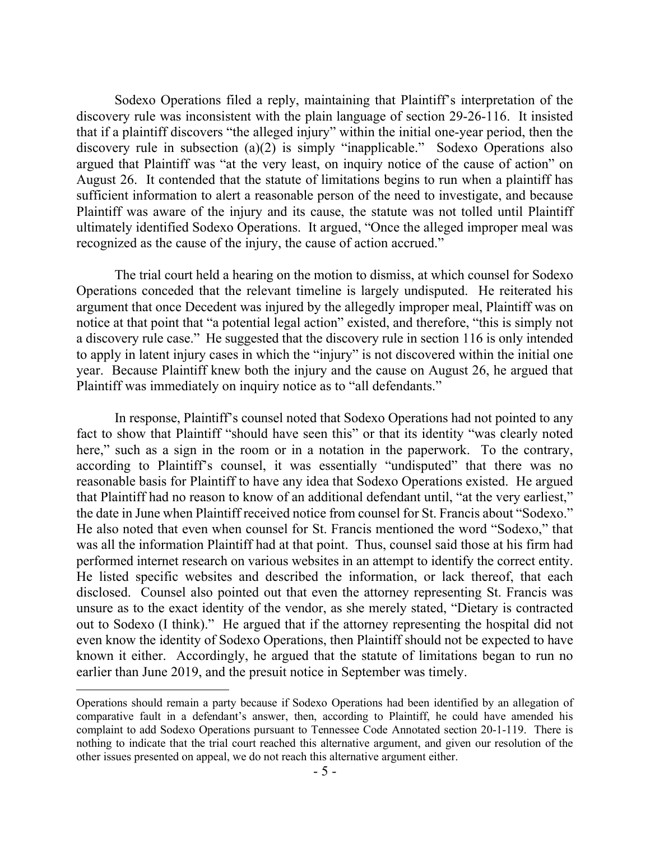Sodexo Operations filed a reply, maintaining that Plaintiff's interpretation of the discovery rule was inconsistent with the plain language of section 29-26-116. It insisted that if a plaintiff discovers "the alleged injury" within the initial one-year period, then the discovery rule in subsection (a)(2) is simply "inapplicable." Sodexo Operations also argued that Plaintiff was "at the very least, on inquiry notice of the cause of action" on August 26. It contended that the statute of limitations begins to run when a plaintiff has sufficient information to alert a reasonable person of the need to investigate, and because Plaintiff was aware of the injury and its cause, the statute was not tolled until Plaintiff ultimately identified Sodexo Operations. It argued, "Once the alleged improper meal was recognized as the cause of the injury, the cause of action accrued."

The trial court held a hearing on the motion to dismiss, at which counsel for Sodexo Operations conceded that the relevant timeline is largely undisputed. He reiterated his argument that once Decedent was injured by the allegedly improper meal, Plaintiff was on notice at that point that "a potential legal action" existed, and therefore, "this is simply not a discovery rule case." He suggested that the discovery rule in section 116 is only intended to apply in latent injury cases in which the "injury" is not discovered within the initial one year. Because Plaintiff knew both the injury and the cause on August 26, he argued that Plaintiff was immediately on inquiry notice as to "all defendants."

In response, Plaintiff's counsel noted that Sodexo Operations had not pointed to any fact to show that Plaintiff "should have seen this" or that its identity "was clearly noted here," such as a sign in the room or in a notation in the paperwork. To the contrary, according to Plaintiff's counsel, it was essentially "undisputed" that there was no reasonable basis for Plaintiff to have any idea that Sodexo Operations existed. He argued that Plaintiff had no reason to know of an additional defendant until, "at the very earliest," the date in June when Plaintiff received notice from counsel for St. Francis about "Sodexo." He also noted that even when counsel for St. Francis mentioned the word "Sodexo," that was all the information Plaintiff had at that point. Thus, counsel said those at his firm had performed internet research on various websites in an attempt to identify the correct entity. He listed specific websites and described the information, or lack thereof, that each disclosed. Counsel also pointed out that even the attorney representing St. Francis was unsure as to the exact identity of the vendor, as she merely stated, "Dietary is contracted out to Sodexo (I think)." He argued that if the attorney representing the hospital did not even know the identity of Sodexo Operations, then Plaintiff should not be expected to have known it either. Accordingly, he argued that the statute of limitations began to run no earlier than June 2019, and the presuit notice in September was timely.

Operations should remain a party because if Sodexo Operations had been identified by an allegation of comparative fault in a defendant's answer, then, according to Plaintiff, he could have amended his complaint to add Sodexo Operations pursuant to Tennessee Code Annotated section 20-1-119. There is nothing to indicate that the trial court reached this alternative argument, and given our resolution of the other issues presented on appeal, we do not reach this alternative argument either.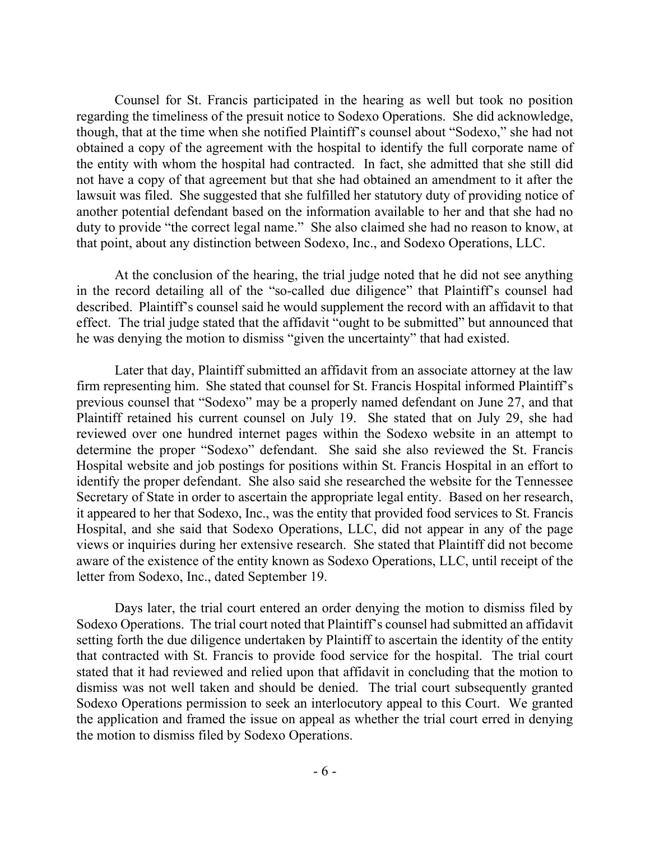Counsel for St. Francis participated in the hearing as well but took no position regarding the timeliness of the presuit notice to Sodexo Operations. She did acknowledge, though, that at the time when she notified Plaintiff's counsel about "Sodexo," she had not obtained a copy of the agreement with the hospital to identify the full corporate name of the entity with whom the hospital had contracted. In fact, she admitted that she still did not have a copy of that agreement but that she had obtained an amendment to it after the lawsuit was filed. She suggested that she fulfilled her statutory duty of providing notice of another potential defendant based on the information available to her and that she had no duty to provide "the correct legal name." She also claimed she had no reason to know, at that point, about any distinction between Sodexo, Inc., and Sodexo Operations, LLC.

At the conclusion of the hearing, the trial judge noted that he did not see anything in the record detailing all of the "so-called due diligence" that Plaintiff's counsel had described. Plaintiff's counsel said he would supplement the record with an affidavit to that effect. The trial judge stated that the affidavit "ought to be submitted" but announced that he was denying the motion to dismiss "given the uncertainty" that had existed.

Later that day, Plaintiff submitted an affidavit from an associate attorney at the law firm representing him. She stated that counsel for St. Francis Hospital informed Plaintiff's previous counsel that "Sodexo" may be a properly named defendant on June 27, and that Plaintiff retained his current counsel on July 19. She stated that on July 29, she had reviewed over one hundred internet pages within the Sodexo website in an attempt to determine the proper "Sodexo" defendant. She said she also reviewed the St. Francis Hospital website and job postings for positions within St. Francis Hospital in an effort to identify the proper defendant. She also said she researched the website for the Tennessee Secretary of State in order to ascertain the appropriate legal entity. Based on her research, it appeared to her that Sodexo, Inc., was the entity that provided food services to St. Francis Hospital, and she said that Sodexo Operations, LLC, did not appear in any of the page views or inquiries during her extensive research. She stated that Plaintiff did not become aware of the existence of the entity known as Sodexo Operations, LLC, until receipt of the letter from Sodexo, Inc., dated September 19.

Days later, the trial court entered an order denying the motion to dismiss filed by Sodexo Operations. The trial court noted that Plaintiff's counsel had submitted an affidavit setting forth the due diligence undertaken by Plaintiff to ascertain the identity of the entity that contracted with St. Francis to provide food service for the hospital. The trial court stated that it had reviewed and relied upon that affidavit in concluding that the motion to dismiss was not well taken and should be denied. The trial court subsequently granted Sodexo Operations permission to seek an interlocutory appeal to this Court. We granted the application and framed the issue on appeal as whether the trial court erred in denying the motion to dismiss filed by Sodexo Operations.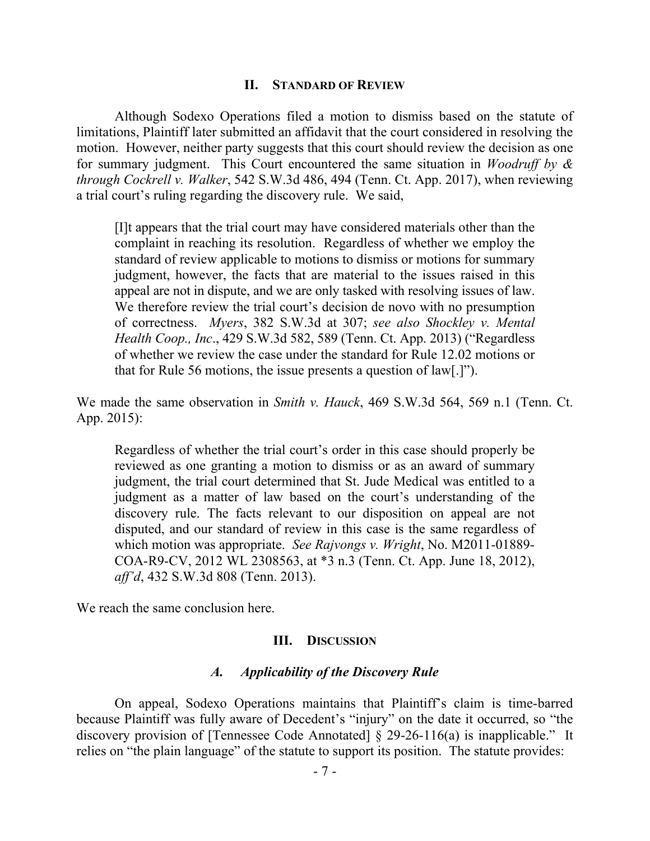#### **II. STANDARD OF REVIEW**

Although Sodexo Operations filed a motion to dismiss based on the statute of limitations, Plaintiff later submitted an affidavit that the court considered in resolving the motion. However, neither party suggests that this court should review the decision as one for summary judgment. This Court encountered the same situation in *Woodruff by & through Cockrell v. Walker*, 542 S.W.3d 486, 494 (Tenn. Ct. App. 2017), when reviewing a trial court's ruling regarding the discovery rule. We said,

[I]t appears that the trial court may have considered materials other than the complaint in reaching its resolution. Regardless of whether we employ the standard of review applicable to motions to dismiss or motions for summary judgment, however, the facts that are material to the issues raised in this appeal are not in dispute, and we are only tasked with resolving issues of law. We therefore review the trial court's decision de novo with no presumption of correctness. *Myers*, 382 S.W.3d at 307; *see also Shockley v. Mental Health Coop., Inc*., 429 S.W.3d 582, 589 (Tenn. Ct. App. 2013) ("Regardless of whether we review the case under the standard for Rule 12.02 motions or that for Rule 56 motions, the issue presents a question of law[.]").

We made the same observation in *Smith v. Hauck*, 469 S.W.3d 564, 569 n.1 (Tenn. Ct. App. 2015):

Regardless of whether the trial court's order in this case should properly be reviewed as one granting a motion to dismiss or as an award of summary judgment, the trial court determined that St. Jude Medical was entitled to a judgment as a matter of law based on the court's understanding of the discovery rule. The facts relevant to our disposition on appeal are not disputed, and our standard of review in this case is the same regardless of which motion was appropriate. *See Rajvongs v. Wright*, No. M2011-01889- COA-R9-CV, 2012 WL 2308563, at \*3 n.3 (Tenn. Ct. App. June 18, 2012), *aff'd*, 432 S.W.3d 808 (Tenn. 2013).

We reach the same conclusion here.

#### **III. DISCUSSION**

## *A. Applicability of the Discovery Rule*

On appeal, Sodexo Operations maintains that Plaintiff's claim is time-barred because Plaintiff was fully aware of Decedent's "injury" on the date it occurred, so "the discovery provision of [Tennessee Code Annotated] § 29-26-116(a) is inapplicable." It relies on "the plain language" of the statute to support its position. The statute provides: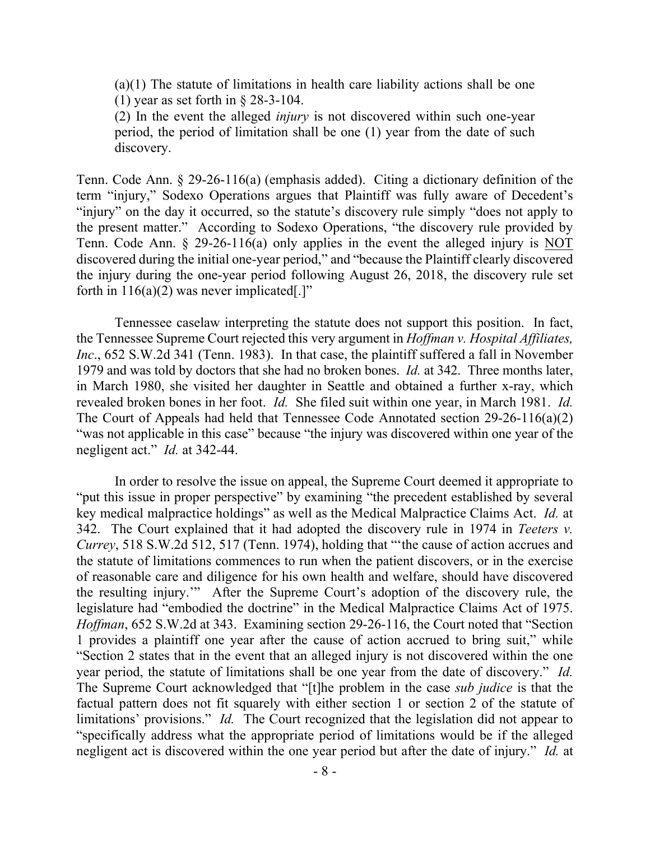(a)(1) The statute of limitations in health care liability actions shall be one (1) year as set forth in § 28-3-104.

(2) In the event the alleged *injury* is not discovered within such one-year period, the period of limitation shall be one (1) year from the date of such discovery.

Tenn. Code Ann. § 29-26-116(a) (emphasis added). Citing a dictionary definition of the term "injury," Sodexo Operations argues that Plaintiff was fully aware of Decedent's "injury" on the day it occurred, so the statute's discovery rule simply "does not apply to the present matter." According to Sodexo Operations, "the discovery rule provided by Tenn. Code Ann. § 29-26-116(a) only applies in the event the alleged injury is NOT discovered during the initial one-year period," and "because the Plaintiff clearly discovered the injury during the one-year period following August 26, 2018, the discovery rule set forth in  $116(a)(2)$  was never implicated[.]"

Tennessee caselaw interpreting the statute does not support this position. In fact, the Tennessee Supreme Court rejected this very argument in *Hoffman v. Hospital Affiliates, Inc.*, 652 S.W.2d 341 (Tenn. 1983). In that case, the plaintiff suffered a fall in November 1979 and was told by doctors that she had no broken bones. *Id.* at 342. Three months later, in March 1980, she visited her daughter in Seattle and obtained a further x-ray, which revealed broken bones in her foot. *Id.* She filed suit within one year, in March 1981. *Id.*  The Court of Appeals had held that Tennessee Code Annotated section 29-26-116(a)(2) "was not applicable in this case" because "the injury was discovered within one year of the negligent act." *Id.* at 342-44.

In order to resolve the issue on appeal, the Supreme Court deemed it appropriate to "put this issue in proper perspective" by examining "the precedent established by several key medical malpractice holdings" as well as the Medical Malpractice Claims Act. *Id.* at 342. The Court explained that it had adopted the discovery rule in 1974 in *Teeters v. Currey*, 518 S.W.2d 512, 517 (Tenn. 1974), holding that "'the cause of action accrues and the statute of limitations commences to run when the patient discovers, or in the exercise of reasonable care and diligence for his own health and welfare, should have discovered the resulting injury.'" After the Supreme Court's adoption of the discovery rule, the legislature had "embodied the doctrine" in the Medical Malpractice Claims Act of 1975. *Hoffman*, 652 S.W.2d at 343.Examining section 29-26-116, the Court noted that "Section 1 provides a plaintiff one year after the cause of action accrued to bring suit," while "Section 2 states that in the event that an alleged injury is not discovered within the one year period, the statute of limitations shall be one year from the date of discovery." *Id.*  The Supreme Court acknowledged that "[t]he problem in the case *sub judice* is that the factual pattern does not fit squarely with either section 1 or section 2 of the statute of limitations' provisions." *Id.* The Court recognized that the legislation did not appear to "specifically address what the appropriate period of limitations would be if the alleged negligent act is discovered within the one year period but after the date of injury." *Id.* at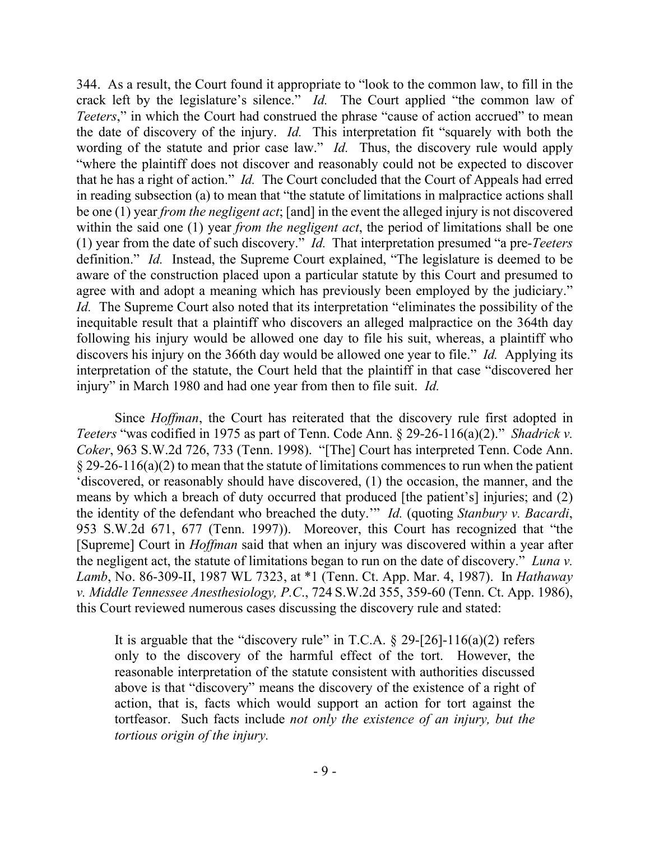344. As a result, the Court found it appropriate to "look to the common law, to fill in the crack left by the legislature's silence." *Id.* The Court applied "the common law of *Teeters*," in which the Court had construed the phrase "cause of action accrued" to mean the date of discovery of the injury. *Id.* This interpretation fit "squarely with both the wording of the statute and prior case law." *Id.* Thus, the discovery rule would apply "where the plaintiff does not discover and reasonably could not be expected to discover that he has a right of action." *Id.* The Court concluded that the Court of Appeals had erred in reading subsection (a) to mean that "the statute of limitations in malpractice actions shall be one (1) year *from the negligent act*; [and] in the event the alleged injury is not discovered within the said one (1) year *from the negligent act*, the period of limitations shall be one (1) year from the date of such discovery." *Id.* That interpretation presumed "a pre-*Teeters* definition." *Id.* Instead, the Supreme Court explained, "The legislature is deemed to be aware of the construction placed upon a particular statute by this Court and presumed to agree with and adopt a meaning which has previously been employed by the judiciary." *Id.* The Supreme Court also noted that its interpretation "eliminates the possibility of the inequitable result that a plaintiff who discovers an alleged malpractice on the 364th day following his injury would be allowed one day to file his suit, whereas, a plaintiff who discovers his injury on the 366th day would be allowed one year to file." *Id.* Applying its interpretation of the statute, the Court held that the plaintiff in that case "discovered her injury" in March 1980 and had one year from then to file suit. *Id.*

Since *Hoffman*, the Court has reiterated that the discovery rule first adopted in *Teeters* "was codified in 1975 as part of Tenn. Code Ann. § 29-26-116(a)(2)." *Shadrick v. Coker*, 963 S.W.2d 726, 733 (Tenn. 1998). "[The] Court has interpreted Tenn. Code Ann.  $\S 29-26-116(a)(2)$  to mean that the statute of limitations commences to run when the patient 'discovered, or reasonably should have discovered, (1) the occasion, the manner, and the means by which a breach of duty occurred that produced [the patient's] injuries; and (2) the identity of the defendant who breached the duty.'" *Id.* (quoting *Stanbury v. Bacardi*, 953 S.W.2d 671, 677 (Tenn. 1997)). Moreover, this Court has recognized that "the [Supreme] Court in *Hoffman* said that when an injury was discovered within a year after the negligent act, the statute of limitations began to run on the date of discovery." *Luna v. Lamb*, No. 86-309-II, 1987 WL 7323, at \*1 (Tenn. Ct. App. Mar. 4, 1987). In *Hathaway v. Middle Tennessee Anesthesiology, P.C*., 724 S.W.2d 355, 359-60 (Tenn. Ct. App. 1986), this Court reviewed numerous cases discussing the discovery rule and stated:

It is arguable that the "discovery rule" in T.C.A.  $\S$  29-[26]-116(a)(2) refers only to the discovery of the harmful effect of the tort. However, the reasonable interpretation of the statute consistent with authorities discussed above is that "discovery" means the discovery of the existence of a right of action, that is, facts which would support an action for tort against the tortfeasor. Such facts include *not only the existence of an injury, but the tortious origin of the injury.*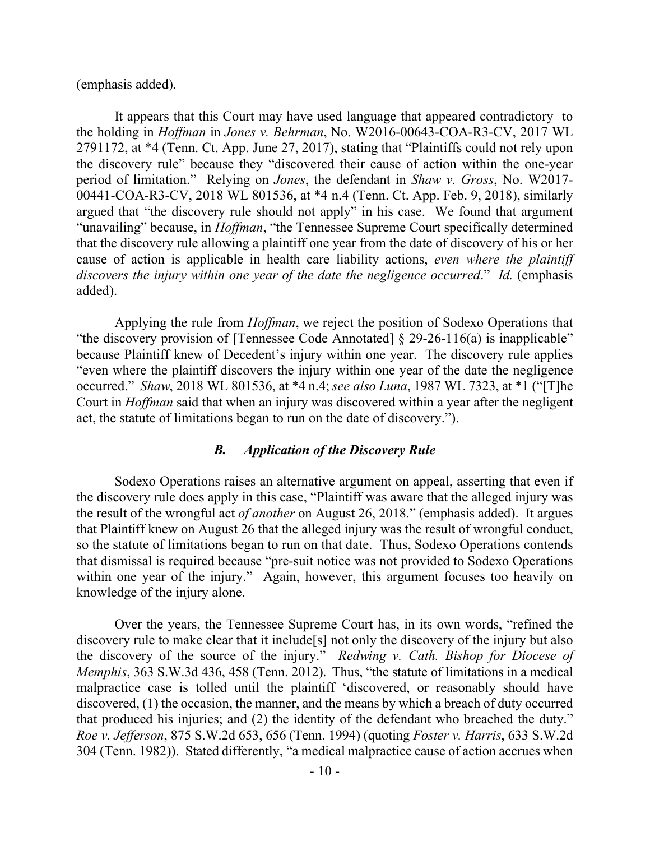(emphasis added)*.*

It appears that this Court may have used language that appeared contradictory to the holding in *Hoffman* in *Jones v. Behrman*, No. W2016-00643-COA-R3-CV, 2017 WL 2791172, at \*4 (Tenn. Ct. App. June 27, 2017), stating that "Plaintiffs could not rely upon the discovery rule" because they "discovered their cause of action within the one-year period of limitation." Relying on *Jones*, the defendant in *Shaw v. Gross*, No. W2017- 00441-COA-R3-CV, 2018 WL 801536, at \*4 n.4 (Tenn. Ct. App. Feb. 9, 2018), similarly argued that "the discovery rule should not apply" in his case. We found that argument "unavailing" because, in *Hoffman*, "the Tennessee Supreme Court specifically determined that the discovery rule allowing a plaintiff one year from the date of discovery of his or her cause of action is applicable in health care liability actions, *even where the plaintiff discovers the injury within one year of the date the negligence occurred*." *Id.* (emphasis added).

Applying the rule from *Hoffman*, we reject the position of Sodexo Operations that "the discovery provision of [Tennessee Code Annotated] § 29-26-116(a) is inapplicable" because Plaintiff knew of Decedent's injury within one year. The discovery rule applies "even where the plaintiff discovers the injury within one year of the date the negligence occurred." *Shaw*, 2018 WL 801536, at \*4 n.4; *see also Luna*, 1987 WL 7323, at \*1 ("[T]he Court in *Hoffman* said that when an injury was discovered within a year after the negligent act, the statute of limitations began to run on the date of discovery.").

## *B. Application of the Discovery Rule*

Sodexo Operations raises an alternative argument on appeal, asserting that even if the discovery rule does apply in this case, "Plaintiff was aware that the alleged injury was the result of the wrongful act *of another* on August 26, 2018." (emphasis added). It argues that Plaintiff knew on August 26 that the alleged injury was the result of wrongful conduct, so the statute of limitations began to run on that date. Thus, Sodexo Operations contends that dismissal is required because "pre-suit notice was not provided to Sodexo Operations within one year of the injury." Again, however, this argument focuses too heavily on knowledge of the injury alone.

Over the years, the Tennessee Supreme Court has, in its own words, "refined the discovery rule to make clear that it include<sup>[s]</sup> not only the discovery of the injury but also the discovery of the source of the injury." *Redwing v. Cath. Bishop for Diocese of Memphis*, 363 S.W.3d 436, 458 (Tenn. 2012). Thus, "the statute of limitations in a medical malpractice case is tolled until the plaintiff 'discovered, or reasonably should have discovered, (1) the occasion, the manner, and the means by which a breach of duty occurred that produced his injuries; and (2) the identity of the defendant who breached the duty." *Roe v. Jefferson*, 875 S.W.2d 653, 656 (Tenn. 1994) (quoting *Foster v. Harris*, 633 S.W.2d 304 (Tenn. 1982)). Stated differently, "a medical malpractice cause of action accrues when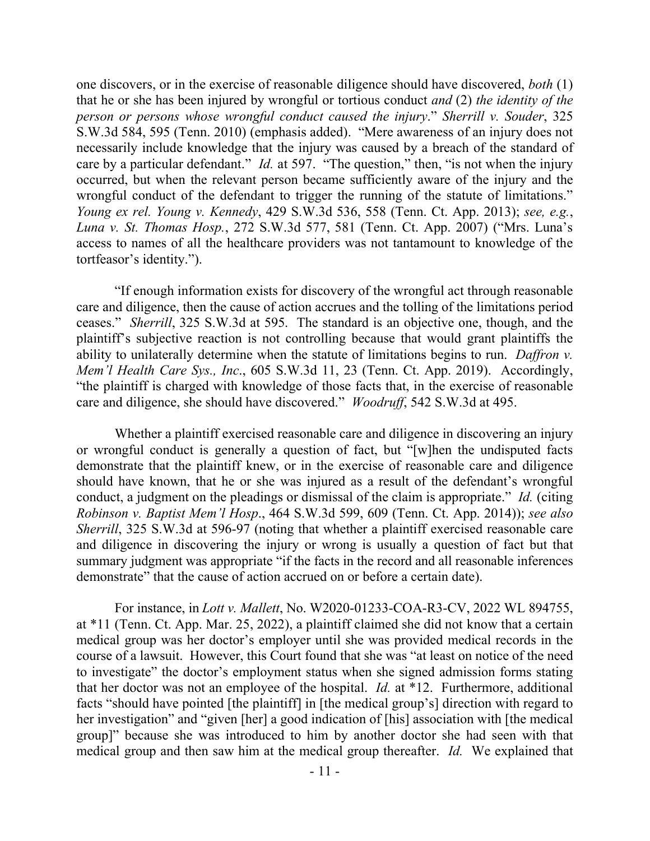one discovers, or in the exercise of reasonable diligence should have discovered, *both* (1) that he or she has been injured by wrongful or tortious conduct *and* (2) *the identity of the person or persons whose wrongful conduct caused the injury*." *Sherrill v. Souder*, 325 S.W.3d 584, 595 (Tenn. 2010) (emphasis added). "Mere awareness of an injury does not necessarily include knowledge that the injury was caused by a breach of the standard of care by a particular defendant." *Id.* at 597. "The question," then, "is not when the injury occurred, but when the relevant person became sufficiently aware of the injury and the wrongful conduct of the defendant to trigger the running of the statute of limitations." *Young ex rel. Young v. Kennedy*, 429 S.W.3d 536, 558 (Tenn. Ct. App. 2013); *see, e.g.*, *Luna v. St. Thomas Hosp.*, 272 S.W.3d 577, 581 (Tenn. Ct. App. 2007) ("Mrs. Luna's access to names of all the healthcare providers was not tantamount to knowledge of the tortfeasor's identity.").

"If enough information exists for discovery of the wrongful act through reasonable care and diligence, then the cause of action accrues and the tolling of the limitations period ceases." *Sherrill*, 325 S.W.3d at 595. The standard is an objective one, though, and the plaintiff's subjective reaction is not controlling because that would grant plaintiffs the ability to unilaterally determine when the statute of limitations begins to run. *Daffron v. Mem'l Health Care Sys., Inc*., 605 S.W.3d 11, 23 (Tenn. Ct. App. 2019). Accordingly, "the plaintiff is charged with knowledge of those facts that, in the exercise of reasonable care and diligence, she should have discovered." *Woodruff*, 542 S.W.3d at 495.

Whether a plaintiff exercised reasonable care and diligence in discovering an injury or wrongful conduct is generally a question of fact, but "[w]hen the undisputed facts demonstrate that the plaintiff knew, or in the exercise of reasonable care and diligence should have known, that he or she was injured as a result of the defendant's wrongful conduct, a judgment on the pleadings or dismissal of the claim is appropriate." *Id.* (citing *Robinson v. Baptist Mem'l Hosp*., 464 S.W.3d 599, 609 (Tenn. Ct. App. 2014)); *see also Sherrill*, 325 S.W.3d at 596-97 (noting that whether a plaintiff exercised reasonable care and diligence in discovering the injury or wrong is usually a question of fact but that summary judgment was appropriate "if the facts in the record and all reasonable inferences demonstrate" that the cause of action accrued on or before a certain date).

For instance, in *Lott v. Mallett*, No. W2020-01233-COA-R3-CV, 2022 WL 894755, at \*11 (Tenn. Ct. App. Mar. 25, 2022), a plaintiff claimed she did not know that a certain medical group was her doctor's employer until she was provided medical records in the course of a lawsuit. However, this Court found that she was "at least on notice of the need to investigate" the doctor's employment status when she signed admission forms stating that her doctor was not an employee of the hospital. *Id.* at \*12. Furthermore, additional facts "should have pointed [the plaintiff] in [the medical group's] direction with regard to her investigation" and "given [her] a good indication of [his] association with [the medical group]" because she was introduced to him by another doctor she had seen with that medical group and then saw him at the medical group thereafter. *Id.* We explained that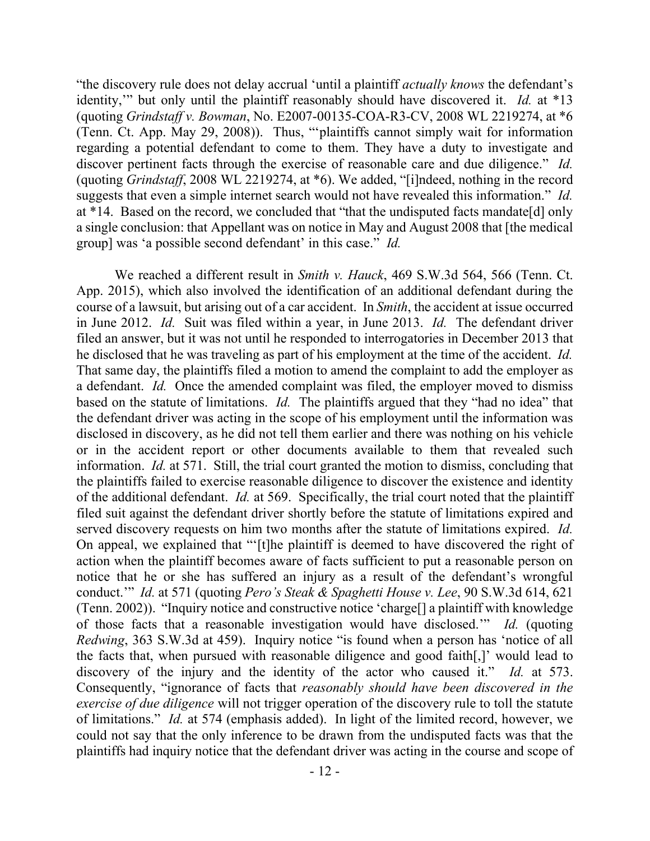"the discovery rule does not delay accrual 'until a plaintiff *actually knows* the defendant's identity,'" but only until the plaintiff reasonably should have discovered it. *Id.* at \*13 (quoting *Grindstaff v. Bowman*, No. E2007-00135-COA-R3-CV, 2008 WL 2219274, at \*6 (Tenn. Ct. App. May 29, 2008)). Thus, "'plaintiffs cannot simply wait for information regarding a potential defendant to come to them. They have a duty to investigate and discover pertinent facts through the exercise of reasonable care and due diligence." *Id.* (quoting *Grindstaff*, 2008 WL 2219274, at \*6). We added, "[i]ndeed, nothing in the record suggests that even a simple internet search would not have revealed this information." *Id.*  at \*14. Based on the record, we concluded that "that the undisputed facts mandate[d] only a single conclusion: that Appellant was on notice in May and August 2008 that [the medical group] was 'a possible second defendant' in this case." *Id.*

We reached a different result in *Smith v. Hauck*, 469 S.W.3d 564, 566 (Tenn. Ct. App. 2015), which also involved the identification of an additional defendant during the course of a lawsuit, but arising out of a car accident. In *Smith*, the accident at issue occurred in June 2012. *Id.* Suit was filed within a year, in June 2013. *Id.* The defendant driver filed an answer, but it was not until he responded to interrogatories in December 2013 that he disclosed that he was traveling as part of his employment at the time of the accident. *Id.* That same day, the plaintiffs filed a motion to amend the complaint to add the employer as a defendant. *Id.* Once the amended complaint was filed, the employer moved to dismiss based on the statute of limitations. *Id.* The plaintiffs argued that they "had no idea" that the defendant driver was acting in the scope of his employment until the information was disclosed in discovery, as he did not tell them earlier and there was nothing on his vehicle or in the accident report or other documents available to them that revealed such information. *Id.* at 571. Still, the trial court granted the motion to dismiss, concluding that the plaintiffs failed to exercise reasonable diligence to discover the existence and identity of the additional defendant. *Id.* at 569. Specifically, the trial court noted that the plaintiff filed suit against the defendant driver shortly before the statute of limitations expired and served discovery requests on him two months after the statute of limitations expired. *Id.*  On appeal, we explained that "'[t]he plaintiff is deemed to have discovered the right of action when the plaintiff becomes aware of facts sufficient to put a reasonable person on notice that he or she has suffered an injury as a result of the defendant's wrongful conduct.'" *Id.* at 571 (quoting *Pero's Steak & Spaghetti House v. Lee*, 90 S.W.3d 614, 621 (Tenn. 2002)). "Inquiry notice and constructive notice 'charge[] a plaintiff with knowledge of those facts that a reasonable investigation would have disclosed.'" *Id.* (quoting *Redwing*, 363 S.W.3d at 459). Inquiry notice "is found when a person has 'notice of all the facts that, when pursued with reasonable diligence and good faith[,]' would lead to discovery of the injury and the identity of the actor who caused it." *Id.* at 573. Consequently, "ignorance of facts that *reasonably should have been discovered in the exercise of due diligence* will not trigger operation of the discovery rule to toll the statute of limitations." *Id.* at 574 (emphasis added).In light of the limited record, however, we could not say that the only inference to be drawn from the undisputed facts was that the plaintiffs had inquiry notice that the defendant driver was acting in the course and scope of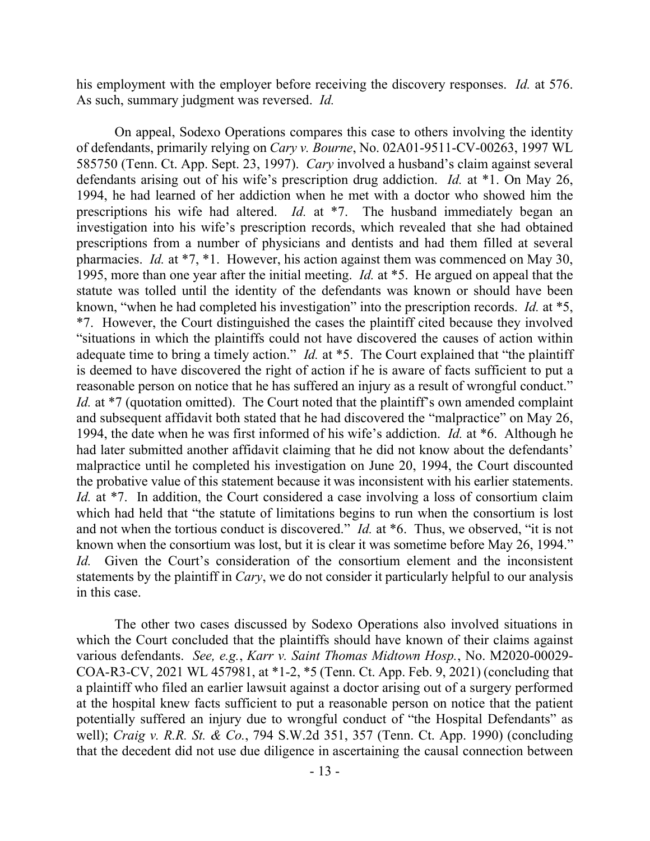his employment with the employer before receiving the discovery responses. *Id.* at 576. As such, summary judgment was reversed. *Id.*

On appeal, Sodexo Operations compares this case to others involving the identity of defendants, primarily relying on *Cary v. Bourne*, No. 02A01-9511-CV-00263, 1997 WL 585750 (Tenn. Ct. App. Sept. 23, 1997). *Cary* involved a husband's claim against several defendants arising out of his wife's prescription drug addiction. *Id.* at \*1. On May 26, 1994, he had learned of her addiction when he met with a doctor who showed him the prescriptions his wife had altered. *Id.* at \*7. The husband immediately began an investigation into his wife's prescription records, which revealed that she had obtained prescriptions from a number of physicians and dentists and had them filled at several pharmacies. *Id.* at \*7, \*1. However, his action against them was commenced on May 30, 1995, more than one year after the initial meeting. *Id.* at \*5. He argued on appeal that the statute was tolled until the identity of the defendants was known or should have been known, "when he had completed his investigation" into the prescription records. *Id.* at \*5, \*7. However, the Court distinguished the cases the plaintiff cited because they involved "situations in which the plaintiffs could not have discovered the causes of action within adequate time to bring a timely action." *Id.* at \*5. The Court explained that "the plaintiff" is deemed to have discovered the right of action if he is aware of facts sufficient to put a reasonable person on notice that he has suffered an injury as a result of wrongful conduct." *Id.* at \*7 (quotation omitted). The Court noted that the plaintiff's own amended complaint and subsequent affidavit both stated that he had discovered the "malpractice" on May 26, 1994, the date when he was first informed of his wife's addiction. *Id.* at \*6. Although he had later submitted another affidavit claiming that he did not know about the defendants' malpractice until he completed his investigation on June 20, 1994, the Court discounted the probative value of this statement because it was inconsistent with his earlier statements. *Id.* at <sup>\*7</sup>. In addition, the Court considered a case involving a loss of consortium claim which had held that "the statute of limitations begins to run when the consortium is lost and not when the tortious conduct is discovered." *Id.* at \*6.Thus, we observed, "it is not known when the consortium was lost, but it is clear it was sometime before May 26, 1994." *Id.* Given the Court's consideration of the consortium element and the inconsistent statements by the plaintiff in *Cary*, we do not consider it particularly helpful to our analysis in this case.

The other two cases discussed by Sodexo Operations also involved situations in which the Court concluded that the plaintiffs should have known of their claims against various defendants. *See, e.g.*, *Karr v. Saint Thomas Midtown Hosp.*, No. M2020-00029- COA-R3-CV, 2021 WL 457981, at \*1-2, \*5 (Tenn. Ct. App. Feb. 9, 2021) (concluding that a plaintiff who filed an earlier lawsuit against a doctor arising out of a surgery performed at the hospital knew facts sufficient to put a reasonable person on notice that the patient potentially suffered an injury due to wrongful conduct of "the Hospital Defendants" as well); *Craig v. R.R. St. & Co.*, 794 S.W.2d 351, 357 (Tenn. Ct. App. 1990) (concluding that the decedent did not use due diligence in ascertaining the causal connection between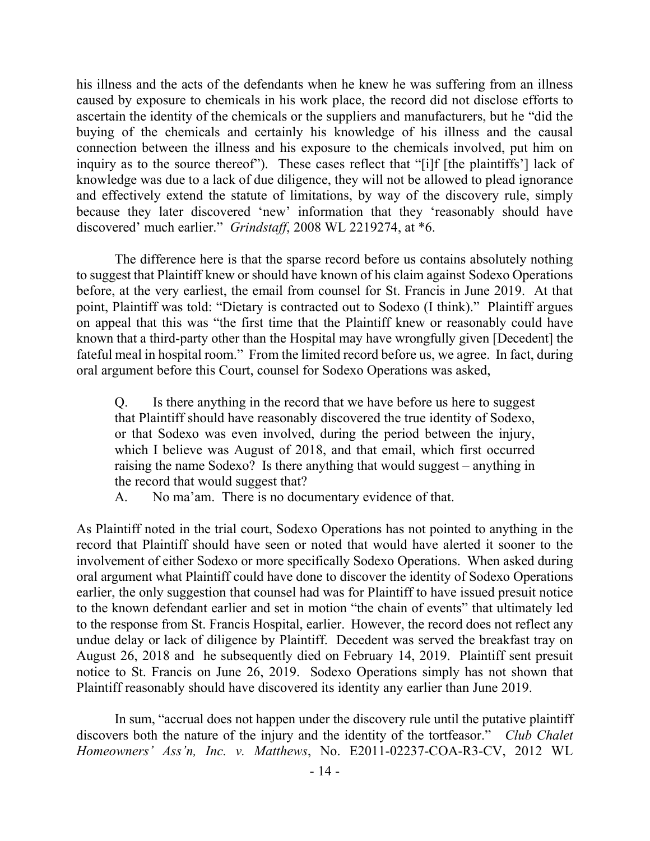his illness and the acts of the defendants when he knew he was suffering from an illness caused by exposure to chemicals in his work place, the record did not disclose efforts to ascertain the identity of the chemicals or the suppliers and manufacturers, but he "did the buying of the chemicals and certainly his knowledge of his illness and the causal connection between the illness and his exposure to the chemicals involved, put him on inquiry as to the source thereof"). These cases reflect that "[i]f [the plaintiffs'] lack of knowledge was due to a lack of due diligence, they will not be allowed to plead ignorance and effectively extend the statute of limitations, by way of the discovery rule, simply because they later discovered 'new' information that they 'reasonably should have discovered' much earlier." *Grindstaff*, 2008 WL 2219274, at \*6.

The difference here is that the sparse record before us contains absolutely nothing to suggest that Plaintiff knew or should have known of his claim against Sodexo Operations before, at the very earliest, the email from counsel for St. Francis in June 2019. At that point, Plaintiff was told: "Dietary is contracted out to Sodexo (I think)." Plaintiff argues on appeal that this was "the first time that the Plaintiff knew or reasonably could have known that a third-party other than the Hospital may have wrongfully given [Decedent] the fateful meal in hospital room." From the limited record before us, we agree. In fact, during oral argument before this Court, counsel for Sodexo Operations was asked,

Q. Is there anything in the record that we have before us here to suggest that Plaintiff should have reasonably discovered the true identity of Sodexo, or that Sodexo was even involved, during the period between the injury, which I believe was August of 2018, and that email, which first occurred raising the name Sodexo? Is there anything that would suggest – anything in the record that would suggest that?

A. No ma'am. There is no documentary evidence of that.

As Plaintiff noted in the trial court, Sodexo Operations has not pointed to anything in the record that Plaintiff should have seen or noted that would have alerted it sooner to the involvement of either Sodexo or more specifically Sodexo Operations. When asked during oral argument what Plaintiff could have done to discover the identity of Sodexo Operations earlier, the only suggestion that counsel had was for Plaintiff to have issued presuit notice to the known defendant earlier and set in motion "the chain of events" that ultimately led to the response from St. Francis Hospital, earlier. However, the record does not reflect any undue delay or lack of diligence by Plaintiff. Decedent was served the breakfast tray on August 26, 2018 and he subsequently died on February 14, 2019. Plaintiff sent presuit notice to St. Francis on June 26, 2019. Sodexo Operations simply has not shown that Plaintiff reasonably should have discovered its identity any earlier than June 2019.

In sum, "accrual does not happen under the discovery rule until the putative plaintiff discovers both the nature of the injury and the identity of the tortfeasor." *Club Chalet Homeowners' Ass'n, Inc. v. Matthews*, No. E2011-02237-COA-R3-CV, 2012 WL